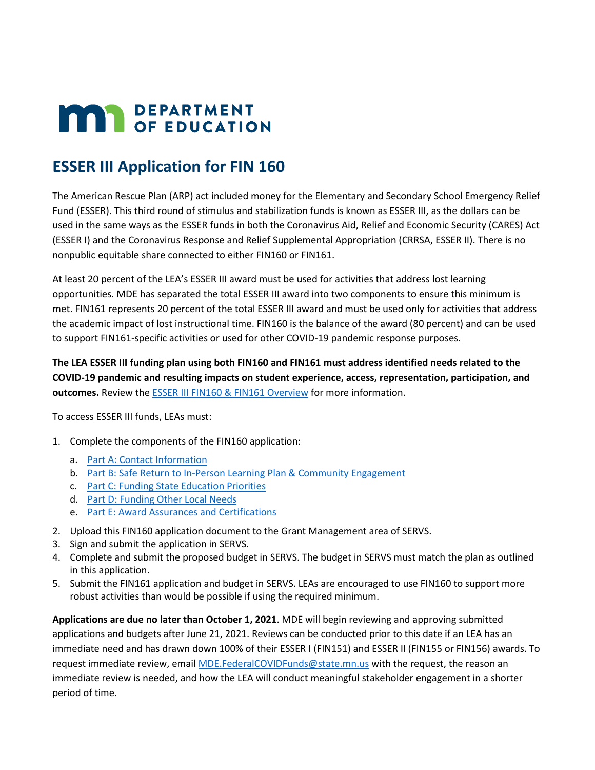# **MAY DEPARTMENT**

# **ESSER III Application for FIN 160**

The American Rescue Plan (ARP) act included money for the Elementary and Secondary School Emergency Relief Fund (ESSER). This third round of stimulus and stabilization funds is known as ESSER III, as the dollars can be used in the same ways as the ESSER funds in both the Coronavirus Aid, Relief and Economic Security (CARES) Act (ESSER I) and the Coronavirus Response and Relief Supplemental Appropriation (CRRSA, ESSER II). There is no nonpublic equitable share connected to either FIN160 or FIN161.

At least 20 percent of the LEA's ESSER III award must be used for activities that address lost learning opportunities. MDE has separated the total ESSER III award into two components to ensure this minimum is met. FIN161 represents 20 percent of the total ESSER III award and must be used only for activities that address the academic impact of lost instructional time. FIN160 is the balance of the award (80 percent) and can be used to support FIN161-specific activities or used for other COVID-19 pandemic response purposes.

**The LEA ESSER III funding plan using both FIN160 and FIN161 must address identified needs related to the COVID-19 pandemic and resulting impacts on student experience, access, representation, participation, and outcomes.** Review th[e ESSER III FIN160 & FIN161 Overview](https://education.mn.gov/mdeprod/idcplg?IdcService=GET_FILE&dDocName=prod045571&RevisionSelectionMethod=latestReleased&Rendition=primary) for more information.

To access ESSER III funds, LEAs must:

- 1. Complete the components of the FIN160 application:
	- a. [Part A: Contact Information](#page-1-0)
	- b. [Part B: Safe Return to In-Person Learning Plan & Community Engagement](#page-2-0)
	- c. [Part C: Funding State Education Priorities](#page-5-0)
	- d. [Part D: Funding Other Local Needs](#page-8-0)
	- e. [Part E: Award Assurances and Certifications](#page-12-0)
- 2. Upload this FIN160 application document to the Grant Management area of SERVS.
- 3. Sign and submit the application in SERVS.
- 4. Complete and submit the proposed budget in SERVS. The budget in SERVS must match the plan as outlined in this application.
- 5. Submit the FIN161 application and budget in SERVS. LEAs are encouraged to use FIN160 to support more robust activities than would be possible if using the required minimum.

**Applications are due no later than October 1, 2021**. MDE will begin reviewing and approving submitted applications and budgets after June 21, 2021. Reviews can be conducted prior to this date if an LEA has an immediate need and has drawn down 100% of their ESSER I (FIN151) and ESSER II (FIN155 or FIN156) awards. To request immediate review, email [MDE.FederalCOVIDFunds@state.mn.us](mailto:MDE.FederalCOVIDFunds@state.mn.us) with the request, the reason an immediate review is needed, and how the LEA will conduct meaningful stakeholder engagement in a shorter period of time.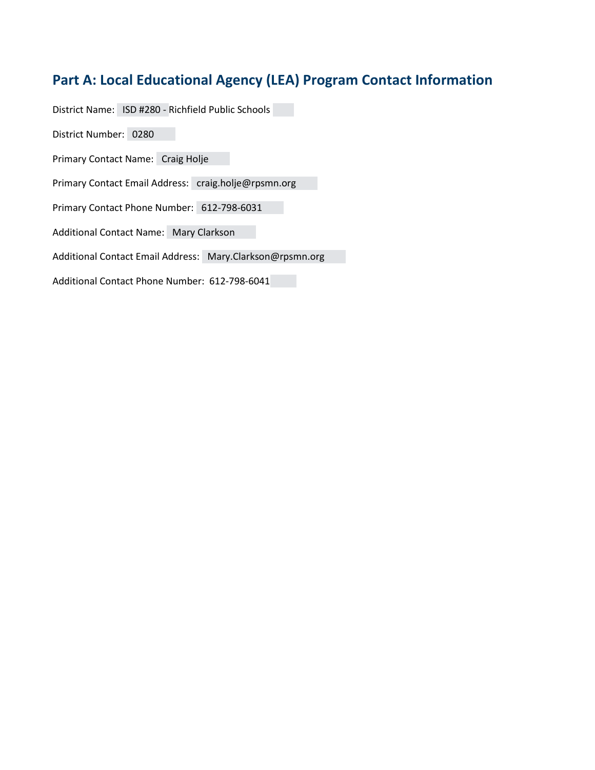# <span id="page-1-0"></span>**Part A: Local Educational Agency (LEA) Program Contact Information**

District Name: ISD #280 - Richfield Public Schools

District Number: 0280

Primary Contact Name: Craig Holje

Primary Contact Email Address: craig.holje@rpsmn.org

Primary Contact Phone Number: 612-798-6031

Additional Contact Name: Mary Clarkson

Additional Contact Email Address: Mary.Clarkson@rpsmn.org

Additional Contact Phone Number: 612-798-6041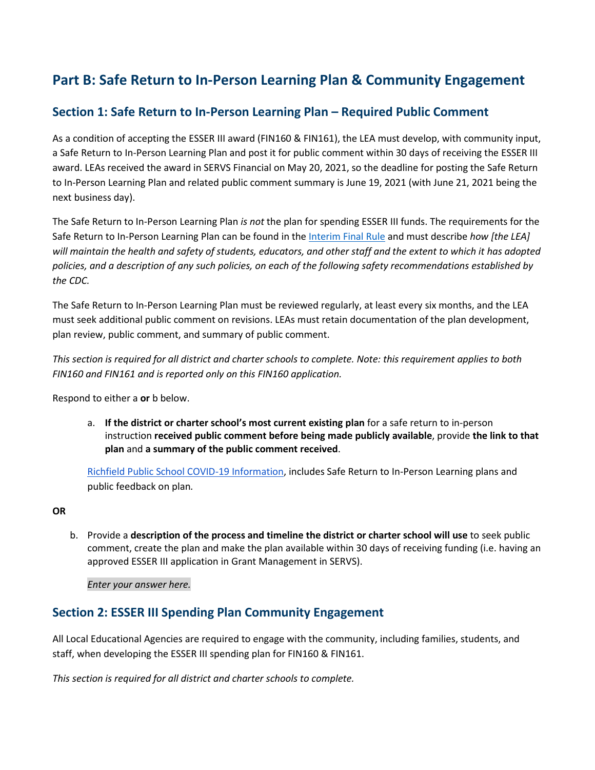# <span id="page-2-0"></span>**Part B: Safe Return to In-Person Learning Plan & Community Engagement**

## **Section 1: Safe Return to In-Person Learning Plan – Required Public Comment**

As a condition of accepting the ESSER III award (FIN160 & FIN161), the LEA must develop, with community input, a Safe Return to In-Person Learning Plan and post it for public comment within 30 days of receiving the ESSER III award. LEAs received the award in SERVS Financial on May 20, 2021, so the deadline for posting the Safe Return to In-Person Learning Plan and related public comment summary is June 19, 2021 (with June 21, 2021 being the next business day).

The Safe Return to In-Person Learning Plan *is not* the plan for spending ESSER III funds. The requirements for the Safe Return to In-Person Learning Plan can be found in th[e Interim Final Rule](https://www.federalregister.gov/documents/2021/04/22/2021-08359/american-rescue-plan-act-elementary-and-secondary-school-emergency-relief-fund#p-102) and must describe *how [the LEA] will maintain the health and safety of students, educators, and other staff and the extent to which it has adopted policies, and a description of any such policies, on each of the following safety recommendations established by the CDC.*

The Safe Return to In-Person Learning Plan must be reviewed regularly, at least every six months, and the LEA must seek additional public comment on revisions. LEAs must retain documentation of the plan development, plan review, public comment, and summary of public comment.

*This section is required for all district and charter schools to complete. Note: this requirement applies to both FIN160 and FIN161 and is reported only on this FIN160 application.*

Respond to either a **or** b below.

a. **If the district or charter school's most current existing plan** for a safe return to in-person instruction **received public comment before being made publicly available**, provide **the link to that plan** and **a summary of the public comment received**.

[Richfield Public School COVID-19 Information,](https://www.richfieldschools.org/about/covid-19) includes Safe Return to In-Person Learning plans and public feedback on plan*.*

#### **OR**

b. Provide a **description of the process and timeline the district or charter school will use** to seek public comment, create the plan and make the plan available within 30 days of receiving funding (i.e. having an approved ESSER III application in Grant Management in SERVS).

#### *Enter your answer here.*

## **Section 2: ESSER III Spending Plan Community Engagement**

All Local Educational Agencies are required to engage with the community, including families, students, and staff, when developing the ESSER III spending plan for FIN160 & FIN161.

*This section is required for all district and charter schools to complete.*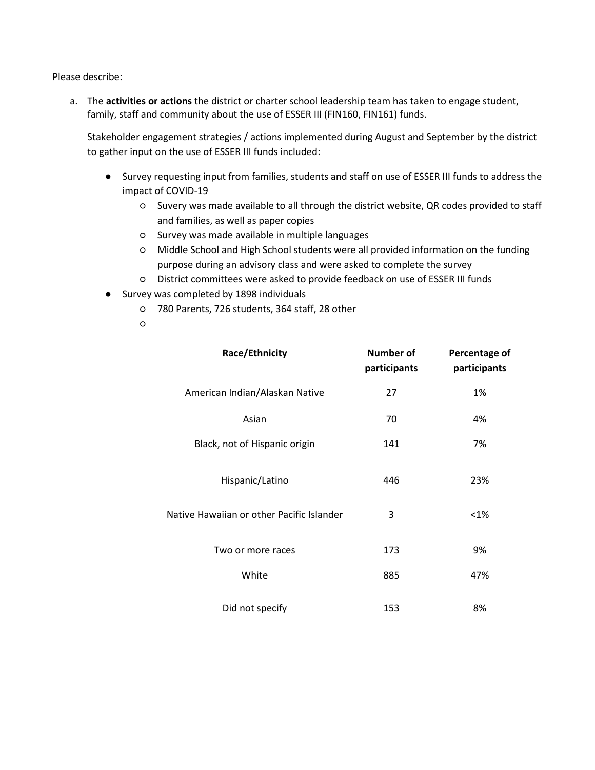Please describe:

a. The **activities or actions** the district or charter school leadership team has taken to engage student, family, staff and community about the use of ESSER III (FIN160, FIN161) funds.

Stakeholder engagement strategies / actions implemented during August and September by the district to gather input on the use of ESSER III funds included:

- Survey requesting input from families, students and staff on use of ESSER III funds to address the impact of COVID-19
	- Suvery was made available to all through the district website, QR codes provided to staff and families, as well as paper copies
	- Survey was made available in multiple languages
	- Middle School and High School students were all provided information on the funding purpose during an advisory class and were asked to complete the survey
	- District committees were asked to provide feedback on use of ESSER III funds
- Survey was completed by 1898 individuals
	- 780 Parents, 726 students, 364 staff, 28 other
	- ○

| Race/Ethnicity                            | <b>Number of</b><br>participants | Percentage of<br>participants |
|-------------------------------------------|----------------------------------|-------------------------------|
| American Indian/Alaskan Native            | 27                               | 1%                            |
| Asian                                     | 70                               | 4%                            |
| Black, not of Hispanic origin             | 141                              | 7%                            |
| Hispanic/Latino                           | 446                              | 23%                           |
| Native Hawaiian or other Pacific Islander | 3                                | $< 1\%$                       |
| Two or more races                         | 173                              | 9%                            |
| White                                     | 885                              | 47%                           |
| Did not specify                           | 153                              | 8%                            |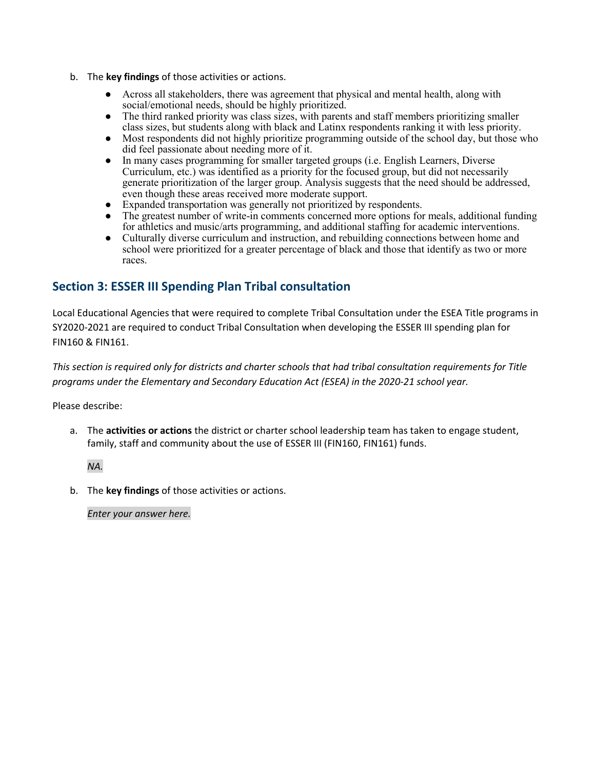- b. The **key findings** of those activities or actions.
	- Across all stakeholders, there was agreement that physical and mental health, along with social/emotional needs, should be highly prioritized.
	- The third ranked priority was class sizes, with parents and staff members prioritizing smaller class sizes, but students along with black and Latinx respondents ranking it with less priority.
	- Most respondents did not highly prioritize programming outside of the school day, but those who did feel passionate about needing more of it.
	- In many cases programming for smaller targeted groups (i.e. English Learners, Diverse Curriculum, etc.) was identified as a priority for the focused group, but did not necessarily generate prioritization of the larger group. Analysis suggests that the need should be addressed, even though these areas received more moderate support.
	- Expanded transportation was generally not prioritized by respondents.
	- The greatest number of write-in comments concerned more options for meals, additional funding for athletics and music/arts programming, and additional staffing for academic interventions.
	- Culturally diverse curriculum and instruction, and rebuilding connections between home and school were prioritized for a greater percentage of black and those that identify as two or more races.

## **Section 3: ESSER III Spending Plan Tribal consultation**

Local Educational Agencies that were required to complete Tribal Consultation under the ESEA Title programs in SY2020-2021 are required to conduct Tribal Consultation when developing the ESSER III spending plan for FIN160 & FIN161.

*This section is required only for districts and charter schools that had tribal consultation requirements for Title programs under the Elementary and Secondary Education Act (ESEA) in the 2020-21 school year.*

Please describe:

a. The **activities or actions** the district or charter school leadership team has taken to engage student, family, staff and community about the use of ESSER III (FIN160, FIN161) funds.

*NA.*

b. The **key findings** of those activities or actions.

*Enter your answer here.*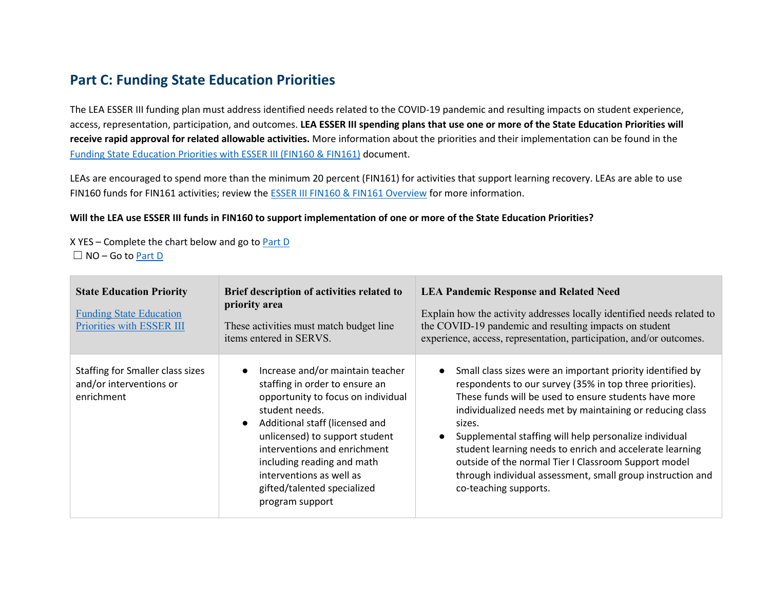## <span id="page-5-1"></span>**Part C: Funding State Education Priorities**

The LEA ESSER III funding plan must address identified needs related to the COVID-19 pandemic and resulting impacts on student experience, access, representation, participation, and outcomes. **LEA ESSER III spending plans that use one or more of the State Education Priorities will receive rapid approval for related allowable activities.** More information about the priorities and their implementation can be found in the [Funding State Education Priorities with ESSER III \(FIN160 & FIN161\)](https://education.mn.gov/mdeprod/idcplg?IdcService=GET_FILE&dDocName=prod035538&RevisionSelectionMethod=latestReleased&Rendition=primary) document.

LEAs are encouraged to spend more than the minimum 20 percent (FIN161) for activities that support learning recovery. LEAs are able to use FIN160 funds for FIN161 activities; review the [ESSER III FIN160 & FIN161 Overview](https://education.mn.gov/mdeprod/idcplg?IdcService=GET_FILE&dDocName=prod045571&RevisionSelectionMethod=latestReleased&Rendition=primary) for more information.

#### **Will the LEA use ESSER III funds in FIN160 to support implementation of one or more of the State Education Priorities?**

<span id="page-5-0"></span>X YES – Complete the chart below and go to [Part D](#page-5-1)  $\Box$  NO – Go to [Part D](#page-5-1)

| <b>State Education Priority</b><br><b>Funding State Education</b><br>Priorities with ESSER III | Brief description of activities related to<br>priority area<br>These activities must match budget line<br>items entered in SERVS.                                                                                                                                                                                                          | <b>LEA Pandemic Response and Related Need</b><br>Explain how the activity addresses locally identified needs related to<br>the COVID-19 pandemic and resulting impacts on student<br>experience, access, representation, participation, and/or outcomes.                                                                                                                                                                                                                                                                                 |
|------------------------------------------------------------------------------------------------|--------------------------------------------------------------------------------------------------------------------------------------------------------------------------------------------------------------------------------------------------------------------------------------------------------------------------------------------|------------------------------------------------------------------------------------------------------------------------------------------------------------------------------------------------------------------------------------------------------------------------------------------------------------------------------------------------------------------------------------------------------------------------------------------------------------------------------------------------------------------------------------------|
| Staffing for Smaller class sizes<br>and/or interventions or<br>enrichment                      | Increase and/or maintain teacher<br>staffing in order to ensure an<br>opportunity to focus on individual<br>student needs.<br>Additional staff (licensed and<br>unlicensed) to support student<br>interventions and enrichment<br>including reading and math<br>interventions as well as<br>gifted/talented specialized<br>program support | Small class sizes were an important priority identified by<br>$\bullet$<br>respondents to our survey (35% in top three priorities).<br>These funds will be used to ensure students have more<br>individualized needs met by maintaining or reducing class<br>sizes.<br>Supplemental staffing will help personalize individual<br>student learning needs to enrich and accelerate learning<br>outside of the normal Tier I Classroom Support model<br>through individual assessment, small group instruction and<br>co-teaching supports. |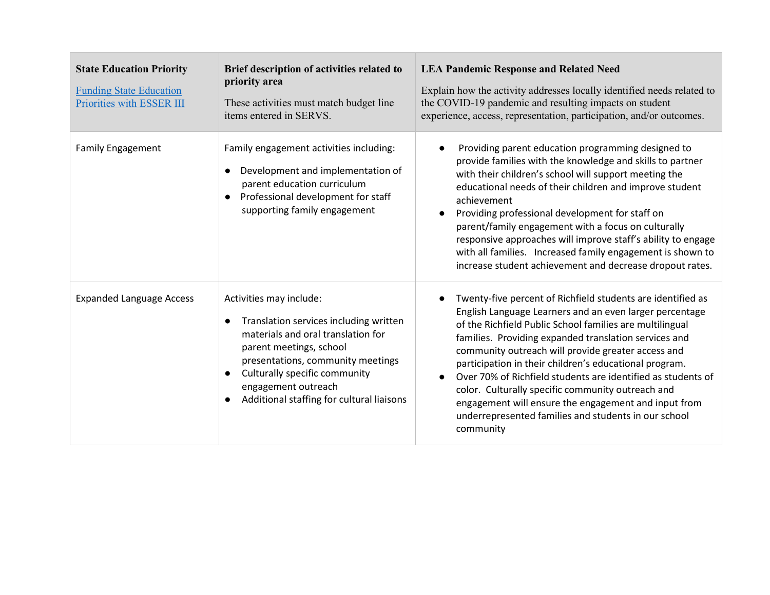| <b>State Education Priority</b><br><b>Funding State Education</b><br>Priorities with ESSER III | Brief description of activities related to<br>priority area<br>These activities must match budget line<br>items entered in SERVS.                                                                                                                                            | <b>LEA Pandemic Response and Related Need</b><br>Explain how the activity addresses locally identified needs related to<br>the COVID-19 pandemic and resulting impacts on student<br>experience, access, representation, participation, and/or outcomes.                                                                                                                                                                                                                                                                                                                                                                                |
|------------------------------------------------------------------------------------------------|------------------------------------------------------------------------------------------------------------------------------------------------------------------------------------------------------------------------------------------------------------------------------|-----------------------------------------------------------------------------------------------------------------------------------------------------------------------------------------------------------------------------------------------------------------------------------------------------------------------------------------------------------------------------------------------------------------------------------------------------------------------------------------------------------------------------------------------------------------------------------------------------------------------------------------|
| <b>Family Engagement</b>                                                                       | Family engagement activities including:<br>Development and implementation of<br>parent education curriculum<br>Professional development for staff<br>supporting family engagement                                                                                            | Providing parent education programming designed to<br>$\bullet$<br>provide families with the knowledge and skills to partner<br>with their children's school will support meeting the<br>educational needs of their children and improve student<br>achievement<br>Providing professional development for staff on<br>parent/family engagement with a focus on culturally<br>responsive approaches will improve staff's ability to engage<br>with all families. Increased family engagement is shown to<br>increase student achievement and decrease dropout rates.                                                                     |
| <b>Expanded Language Access</b>                                                                | Activities may include:<br>Translation services including written<br>materials and oral translation for<br>parent meetings, school<br>presentations, community meetings<br>Culturally specific community<br>engagement outreach<br>Additional staffing for cultural liaisons | Twenty-five percent of Richfield students are identified as<br>$\bullet$<br>English Language Learners and an even larger percentage<br>of the Richfield Public School families are multilingual<br>families. Providing expanded translation services and<br>community outreach will provide greater access and<br>participation in their children's educational program.<br>Over 70% of Richfield students are identified as students of<br>$\bullet$<br>color. Culturally specific community outreach and<br>engagement will ensure the engagement and input from<br>underrepresented families and students in our school<br>community |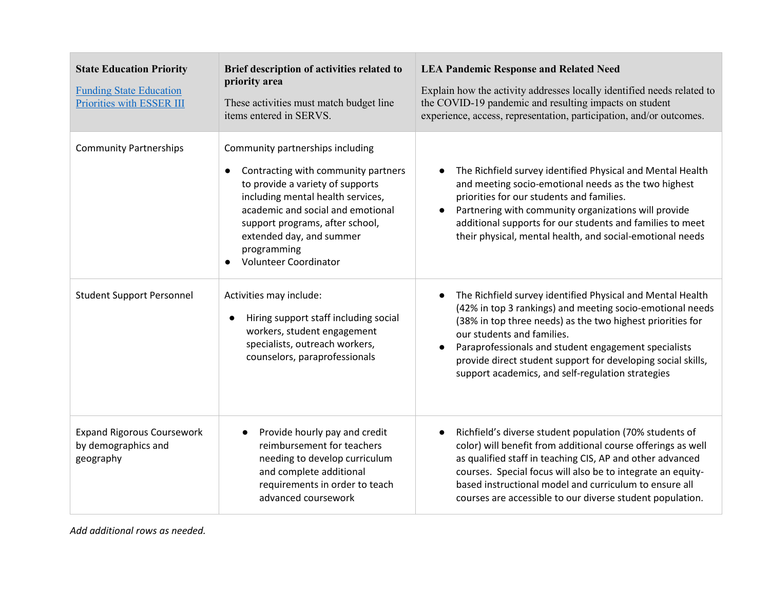| <b>State Education Priority</b><br><b>Funding State Education</b><br>Priorities with ESSER III | Brief description of activities related to<br>priority area<br>These activities must match budget line<br>items entered in SERVS.                                                                                                                                                            | <b>LEA Pandemic Response and Related Need</b><br>Explain how the activity addresses locally identified needs related to<br>the COVID-19 pandemic and resulting impacts on student<br>experience, access, representation, participation, and/or outcomes.                                                                                                                                                                   |
|------------------------------------------------------------------------------------------------|----------------------------------------------------------------------------------------------------------------------------------------------------------------------------------------------------------------------------------------------------------------------------------------------|----------------------------------------------------------------------------------------------------------------------------------------------------------------------------------------------------------------------------------------------------------------------------------------------------------------------------------------------------------------------------------------------------------------------------|
| <b>Community Partnerships</b>                                                                  | Community partnerships including<br>Contracting with community partners<br>to provide a variety of supports<br>including mental health services,<br>academic and social and emotional<br>support programs, after school,<br>extended day, and summer<br>programming<br>Volunteer Coordinator | The Richfield survey identified Physical and Mental Health<br>and meeting socio-emotional needs as the two highest<br>priorities for our students and families.<br>Partnering with community organizations will provide<br>$\bullet$<br>additional supports for our students and families to meet<br>their physical, mental health, and social-emotional needs                                                             |
| <b>Student Support Personnel</b>                                                               | Activities may include:<br>Hiring support staff including social<br>$\bullet$<br>workers, student engagement<br>specialists, outreach workers,<br>counselors, paraprofessionals                                                                                                              | The Richfield survey identified Physical and Mental Health<br>$\bullet$<br>(42% in top 3 rankings) and meeting socio-emotional needs<br>(38% in top three needs) as the two highest priorities for<br>our students and families.<br>Paraprofessionals and student engagement specialists<br>$\bullet$<br>provide direct student support for developing social skills,<br>support academics, and self-regulation strategies |
| <b>Expand Rigorous Coursework</b><br>by demographics and<br>geography                          | Provide hourly pay and credit<br>reimbursement for teachers<br>needing to develop curriculum<br>and complete additional<br>requirements in order to teach<br>advanced coursework                                                                                                             | Richfield's diverse student population (70% students of<br>$\bullet$<br>color) will benefit from additional course offerings as well<br>as qualified staff in teaching CIS, AP and other advanced<br>courses. Special focus will also be to integrate an equity-<br>based instructional model and curriculum to ensure all<br>courses are accessible to our diverse student population.                                    |

*Add additional rows as needed.*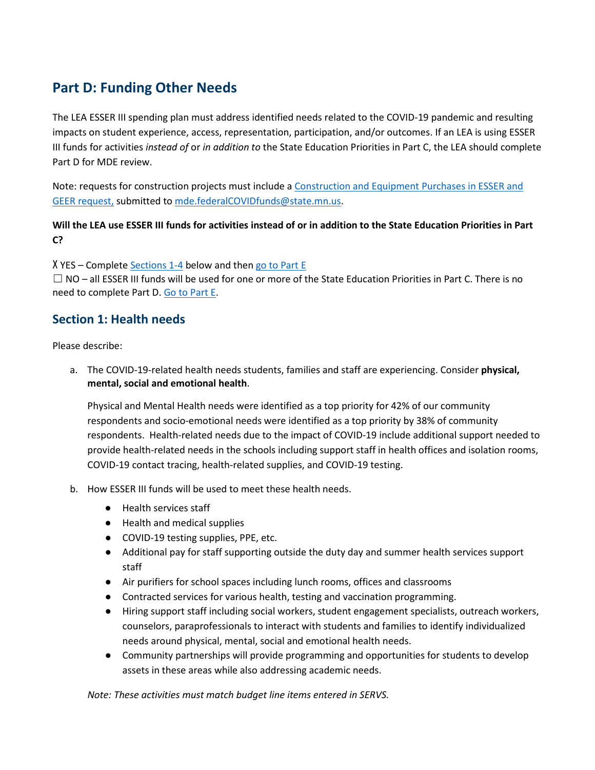# <span id="page-8-0"></span>**Part D: Funding Other Needs**

The LEA ESSER III spending plan must address identified needs related to the COVID-19 pandemic and resulting impacts on student experience, access, representation, participation, and/or outcomes. If an LEA is using ESSER III funds for activities *instead of* or *in addition to* the State Education Priorities in Part C, the LEA should complete Part D for MDE review.

Note: requests for construction projects must include a [Construction and Equipment Purchases in ESSER and](https://education.mn.gov/mdeprod/idcplg?IdcService=GET_FILE&dDocName=PROD034966&RevisionSelectionMethod=latestReleased&Rendition=primary)  [GEER request,](https://education.mn.gov/mdeprod/idcplg?IdcService=GET_FILE&dDocName=PROD034966&RevisionSelectionMethod=latestReleased&Rendition=primary) submitted to [mde.federalCOVIDfunds@state.mn.us.](mailto:mde.federalCOVIDfunds@state.mn.us)

#### **Will the LEA use ESSER III funds for activities instead of or in addition to the State Education Priorities in Part C?**

X YES – Complete [Sections 1-4](#page-8-1) below and the[n go to Part E](#page-12-0)

 $\Box$  NO – all ESSER III funds will be used for one or more of the State Education Priorities in Part C. There is no need to complete Part D. Go to Part E.

## <span id="page-8-1"></span>**Section 1: Health needs**

Please describe:

a. The COVID-19-related health needs students, families and staff are experiencing. Consider **physical, mental, social and emotional health**.

Physical and Mental Health needs were identified as a top priority for 42% of our community respondents and socio-emotional needs were identified as a top priority by 38% of community respondents. Health-related needs due to the impact of COVID-19 include additional support needed to provide health-related needs in the schools including support staff in health offices and isolation rooms, COVID-19 contact tracing, health-related supplies, and COVID-19 testing.

- b. How ESSER III funds will be used to meet these health needs.
	- Health services staff
	- Health and medical supplies
	- COVID-19 testing supplies, PPE, etc.
	- Additional pay for staff supporting outside the duty day and summer health services support staff
	- Air purifiers for school spaces including lunch rooms, offices and classrooms
	- Contracted services for various health, testing and vaccination programming.
	- Hiring support staff including social workers, student engagement specialists, outreach workers, counselors, paraprofessionals to interact with students and families to identify individualized needs around physical, mental, social and emotional health needs.
	- Community partnerships will provide programming and opportunities for students to develop assets in these areas while also addressing academic needs.

*Note: These activities must match budget line items entered in SERVS.*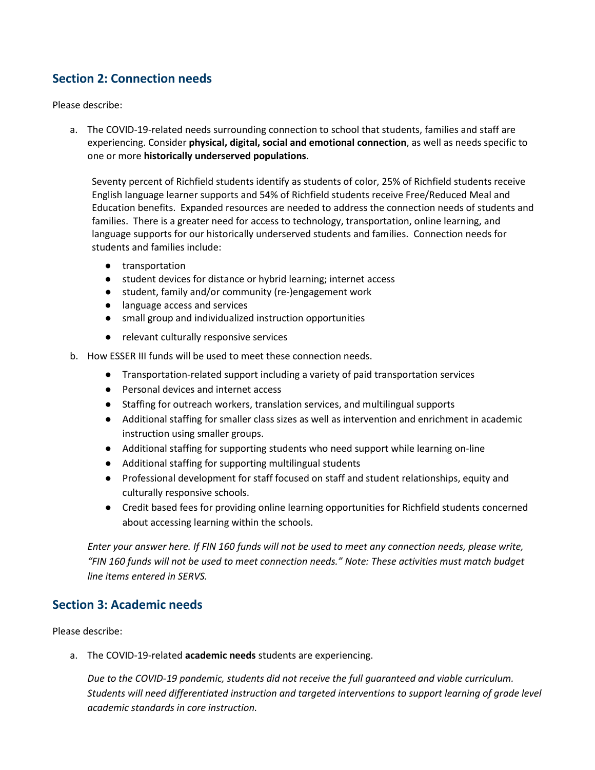## **Section 2: Connection needs**

Please describe:

a. The COVID-19-related needs surrounding connection to school that students, families and staff are experiencing. Consider **physical, digital, social and emotional connection**, as well as needs specific to one or more **historically underserved populations**.

Seventy percent of Richfield students identify as students of color, 25% of Richfield students receive English language learner supports and 54% of Richfield students receive Free/Reduced Meal and Education benefits. Expanded resources are needed to address the connection needs of students and families. There is a greater need for access to technology, transportation, online learning, and language supports for our historically underserved students and families. Connection needs for students and families include:

- transportation
- student devices for distance or hybrid learning; internet access
- student, family and/or community (re-)engagement work
- language access and services
- small group and individualized instruction opportunities
- relevant culturally responsive services

b. How ESSER III funds will be used to meet these connection needs.

- Transportation-related support including a variety of paid transportation services
- Personal devices and internet access
- Staffing for outreach workers, translation services, and multilingual supports
- Additional staffing for smaller class sizes as well as intervention and enrichment in academic instruction using smaller groups.
- Additional staffing for supporting students who need support while learning on-line
- Additional staffing for supporting multilingual students
- Professional development for staff focused on staff and student relationships, equity and culturally responsive schools.
- Credit based fees for providing online learning opportunities for Richfield students concerned about accessing learning within the schools.

*Enter your answer here. If FIN 160 funds will not be used to meet any connection needs, please write, "FIN 160 funds will not be used to meet connection needs." Note: These activities must match budget line items entered in SERVS.*

#### **Section 3: Academic needs**

Please describe:

a. The COVID-19-related **academic needs** students are experiencing.

*Due to the COVID-19 pandemic, students did not receive the full guaranteed and viable curriculum. Students will need differentiated instruction and targeted interventions to support learning of grade level academic standards in core instruction.*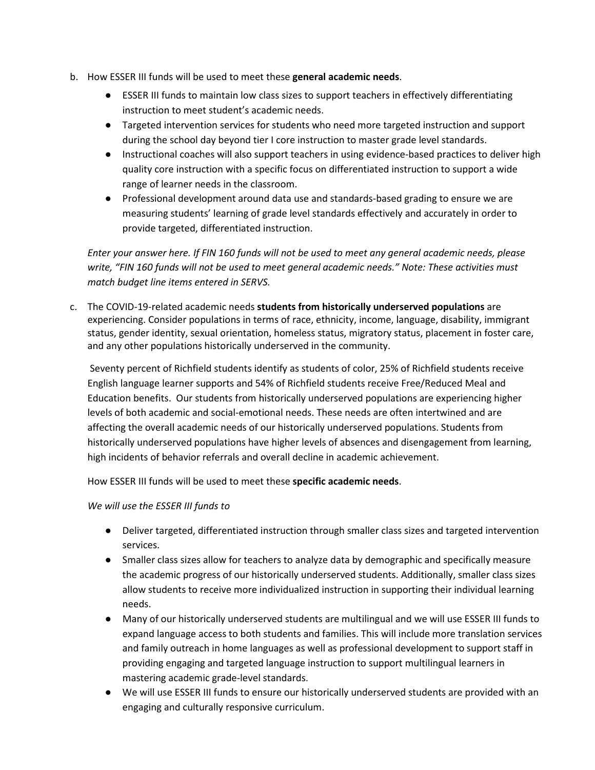- b. How ESSER III funds will be used to meet these **general academic needs**.
	- ESSER III funds to maintain low class sizes to support teachers in effectively differentiating instruction to meet student's academic needs.
	- Targeted intervention services for students who need more targeted instruction and support during the school day beyond tier I core instruction to master grade level standards.
	- Instructional coaches will also support teachers in using evidence-based practices to deliver high quality core instruction with a specific focus on differentiated instruction to support a wide range of learner needs in the classroom.
	- Professional development around data use and standards-based grading to ensure we are measuring students' learning of grade level standards effectively and accurately in order to provide targeted, differentiated instruction.

*Enter your answer here. If FIN 160 funds will not be used to meet any general academic needs, please write, "FIN 160 funds will not be used to meet general academic needs." Note: These activities must match budget line items entered in SERVS.*

c. The COVID-19-related academic needs **students from historically underserved populations** are experiencing. Consider populations in terms of race, ethnicity, income, language, disability, immigrant status, gender identity, sexual orientation, homeless status, migratory status, placement in foster care, and any other populations historically underserved in the community.

Seventy percent of Richfield students identify as students of color, 25% of Richfield students receive English language learner supports and 54% of Richfield students receive Free/Reduced Meal and Education benefits. Our students from historically underserved populations are experiencing higher levels of both academic and social-emotional needs. These needs are often intertwined and are affecting the overall academic needs of our historically underserved populations. Students from historically underserved populations have higher levels of absences and disengagement from learning, high incidents of behavior referrals and overall decline in academic achievement.

How ESSER III funds will be used to meet these **specific academic needs**.

#### *We will use the ESSER III funds to*

- Deliver targeted, differentiated instruction through smaller class sizes and targeted intervention services.
- Smaller class sizes allow for teachers to analyze data by demographic and specifically measure the academic progress of our historically underserved students. Additionally, smaller class sizes allow students to receive more individualized instruction in supporting their individual learning needs.
- Many of our historically underserved students are multilingual and we will use ESSER III funds to expand language access to both students and families. This will include more translation services and family outreach in home languages as well as professional development to support staff in providing engaging and targeted language instruction to support multilingual learners in mastering academic grade-level standards.
- We will use ESSER III funds to ensure our historically underserved students are provided with an engaging and culturally responsive curriculum.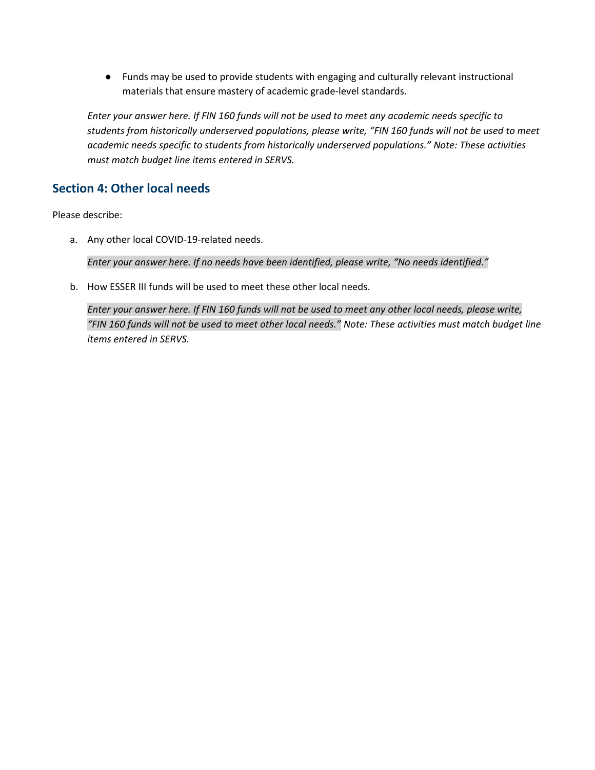● Funds may be used to provide students with engaging and culturally relevant instructional materials that ensure mastery of academic grade-level standards.

*Enter your answer here. If FIN 160 funds will not be used to meet any academic needs specific to students from historically underserved populations, please write, "FIN 160 funds will not be used to meet academic needs specific to students from historically underserved populations." Note: These activities must match budget line items entered in SERVS.*

## **Section 4: Other local needs**

Please describe:

a. Any other local COVID-19-related needs.

*Enter your answer here. If no needs have been identified, please write, "No needs identified."*

b. How ESSER III funds will be used to meet these other local needs.

*Enter your answer here. If FIN 160 funds will not be used to meet any other local needs, please write, "FIN 160 funds will not be used to meet other local needs." Note: These activities must match budget line items entered in SERVS.*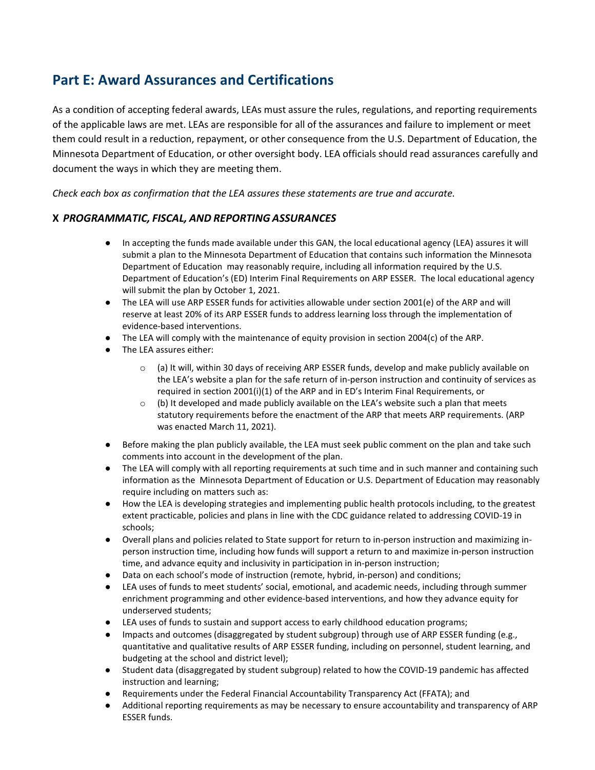# <span id="page-12-0"></span>**Part E: Award Assurances and Certifications**

As a condition of accepting federal awards, LEAs must assure the rules, regulations, and reporting requirements of the applicable laws are met. LEAs are responsible for all of the assurances and failure to implement or meet them could result in a reduction, repayment, or other consequence from the U.S. Department of Education, the Minnesota Department of Education, or other oversight body. LEA officials should read assurances carefully and document the ways in which they are meeting them.

*Check each box as confirmation that the LEA assures these statements are true and accurate.*

#### **X** *PROGRAMMATIC, FISCAL, AND REPORTING ASSURANCES*

- In accepting the funds made available under this GAN, the local educational agency (LEA) assures it will submit a plan to the Minnesota Department of Education that contains such information the Minnesota Department of Education may reasonably require, including all information required by the U.S. Department of Education's (ED) Interim Final Requirements on ARP ESSER. The local educational agency will submit the plan by October 1, 2021.
- The LEA will use ARP ESSER funds for activities allowable under section 2001(e) of the ARP and will reserve at least 20% of its ARP ESSER funds to address learning loss through the implementation of evidence-based interventions.
- The LEA will comply with the maintenance of equity provision in section 2004(c) of the ARP.
- The LEA assures either:
	- $\circ$  (a) It will, within 30 days of receiving ARP ESSER funds, develop and make publicly available on the LEA's website a plan for the safe return of in-person instruction and continuity of services as required in section 2001(i)(1) of the ARP and in ED's Interim Final Requirements, or
	- $\circ$  (b) It developed and made publicly available on the LEA's website such a plan that meets statutory requirements before the enactment of the ARP that meets ARP requirements. (ARP was enacted March 11, 2021).
- Before making the plan publicly available, the LEA must seek public comment on the plan and take such comments into account in the development of the plan.
- The LEA will comply with all reporting requirements at such time and in such manner and containing such information as the Minnesota Department of Education or U.S. Department of Education may reasonably require including on matters such as:
- How the LEA is developing strategies and implementing public health protocols including, to the greatest extent practicable, policies and plans in line with the CDC guidance related to addressing COVID-19 in schools;
- Overall plans and policies related to State support for return to in-person instruction and maximizing inperson instruction time, including how funds will support a return to and maximize in-person instruction time, and advance equity and inclusivity in participation in in-person instruction;
- Data on each school's mode of instruction (remote, hybrid, in-person) and conditions;
- LEA uses of funds to meet students' social, emotional, and academic needs, including through summer enrichment programming and other evidence-based interventions, and how they advance equity for underserved students;
- LEA uses of funds to sustain and support access to early childhood education programs;
- Impacts and outcomes (disaggregated by student subgroup) through use of ARP ESSER funding (e.g., quantitative and qualitative results of ARP ESSER funding, including on personnel, student learning, and budgeting at the school and district level);
- Student data (disaggregated by student subgroup) related to how the COVID-19 pandemic has affected instruction and learning;
- Requirements under the Federal Financial Accountability Transparency Act (FFATA); and
- Additional reporting requirements as may be necessary to ensure accountability and transparency of ARP ESSER funds.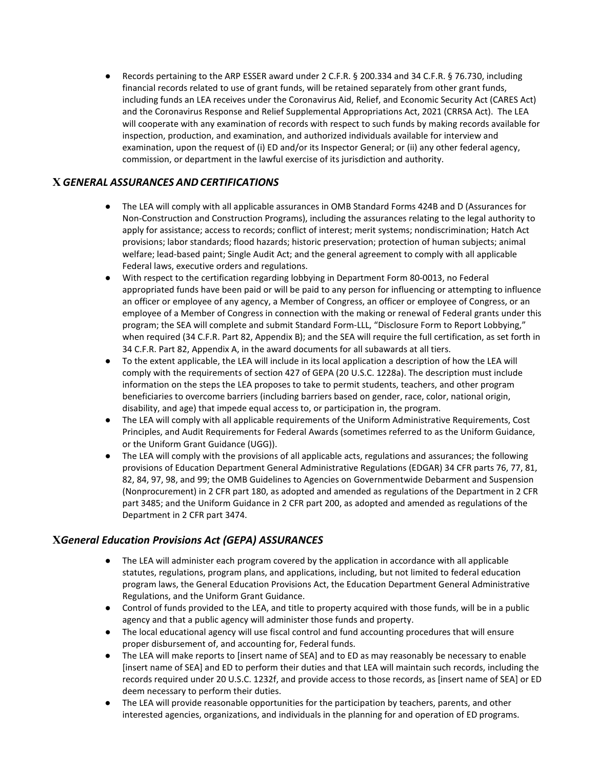● Records pertaining to the ARP ESSER award under 2 C.F.R. § 200.334 and 34 C.F.R. § 76.730, including financial records related to use of grant funds, will be retained separately from other grant funds, including funds an LEA receives under the Coronavirus Aid, Relief, and Economic Security Act (CARES Act) and the Coronavirus Response and Relief Supplemental Appropriations Act, 2021 (CRRSA Act). The LEA will cooperate with any examination of records with respect to such funds by making records available for inspection, production, and examination, and authorized individuals available for interview and examination, upon the request of (i) ED and/or its Inspector General; or (ii) any other federal agency, commission, or department in the lawful exercise of its jurisdiction and authority.

#### **X** *GENERAL ASSURANCES AND CERTIFICATIONS*

- The LEA will comply with all applicable assurances in OMB Standard Forms 424B and D (Assurances for Non-Construction and Construction Programs), including the assurances relating to the legal authority to apply for assistance; access to records; conflict of interest; merit systems; nondiscrimination; Hatch Act provisions; labor standards; flood hazards; historic preservation; protection of human subjects; animal welfare; lead-based paint; Single Audit Act; and the general agreement to comply with all applicable Federal laws, executive orders and regulations.
- With respect to the certification regarding lobbying in Department Form 80-0013, no Federal appropriated funds have been paid or will be paid to any person for influencing or attempting to influence an officer or employee of any agency, a Member of Congress, an officer or employee of Congress, or an employee of a Member of Congress in connection with the making or renewal of Federal grants under this program; the SEA will complete and submit Standard Form-LLL, "Disclosure Form to Report Lobbying," when required (34 C.F.R. Part 82, Appendix B); and the SEA will require the full certification, as set forth in 34 C.F.R. Part 82, Appendix A, in the award documents for all subawards at all tiers.
- To the extent applicable, the LEA will include in its local application a description of how the LEA will comply with the requirements of section 427 of GEPA (20 U.S.C. 1228a). The description must include information on the steps the LEA proposes to take to permit students, teachers, and other program beneficiaries to overcome barriers (including barriers based on gender, race, color, national origin, disability, and age) that impede equal access to, or participation in, the program.
- The LEA will comply with all applicable requirements of the Uniform Administrative Requirements, Cost Principles, and Audit Requirements for Federal Awards (sometimes referred to as the Uniform Guidance, or the Uniform Grant Guidance (UGG)).
- The LEA will comply with the provisions of all applicable acts, regulations and assurances; the following provisions of Education Department General Administrative Regulations (EDGAR) 34 CFR parts 76, 77, 81, 82, 84, 97, 98, and 99; the OMB Guidelines to Agencies on Governmentwide Debarment and Suspension (Nonprocurement) in 2 CFR part 180, as adopted and amended as regulations of the Department in 2 CFR part 3485; and the Uniform Guidance in 2 CFR part 200, as adopted and amended as regulations of the Department in 2 CFR part 3474.

#### **X***General Education Provisions Act (GEPA) ASSURANCES*

- The LEA will administer each program covered by the application in accordance with all applicable statutes, regulations, program plans, and applications, including, but not limited to federal education program laws, the General Education Provisions Act, the Education Department General Administrative Regulations, and the Uniform Grant Guidance.
- Control of funds provided to the LEA, and title to property acquired with those funds, will be in a public agency and that a public agency will administer those funds and property.
- The local educational agency will use fiscal control and fund accounting procedures that will ensure proper disbursement of, and accounting for, Federal funds.
- The LEA will make reports to [insert name of SEA] and to ED as may reasonably be necessary to enable [insert name of SEA] and ED to perform their duties and that LEA will maintain such records, including the records required under 20 U.S.C. 1232f, and provide access to those records, as [insert name of SEA] or ED deem necessary to perform their duties.
- The LEA will provide reasonable opportunities for the participation by teachers, parents, and other interested agencies, organizations, and individuals in the planning for and operation of ED programs.